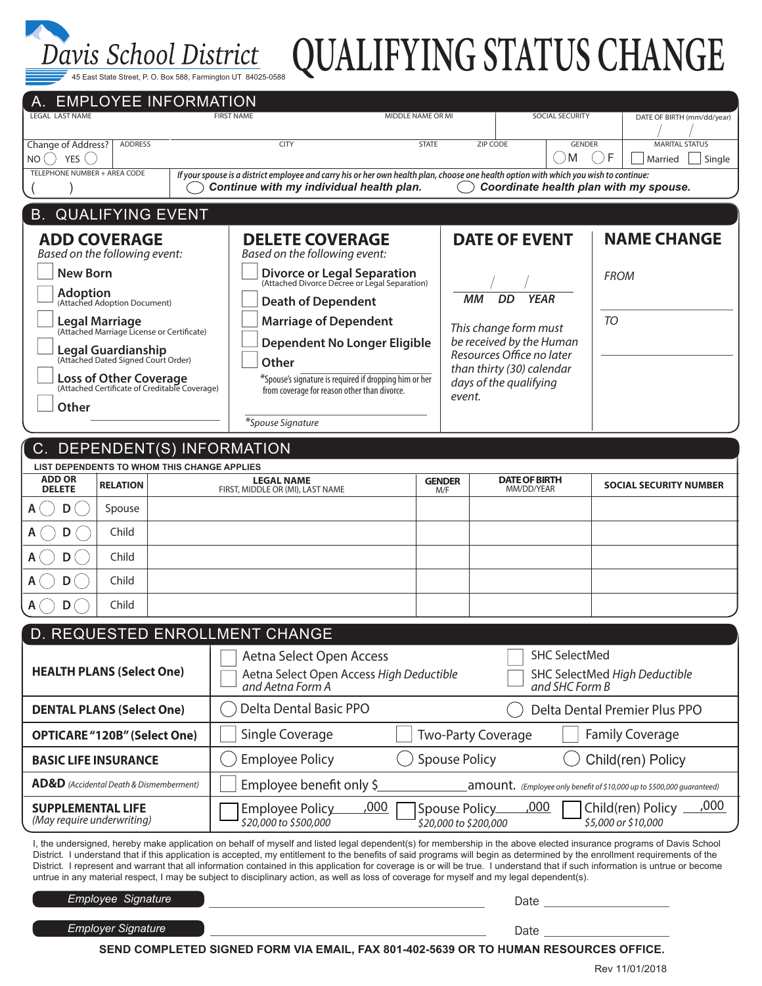

# 45 East State Street, P. O. Box 588, Farmington UT 84025-0588 **QUALIFYING STATUS CHANGE**

| <b>EMPLOYEE INFORMATION</b><br><b>LEGAL LAST NAME</b>                          |                           |                                                                                                                                                        | <b>FIRST NAME</b>                                                                                                                                                                                                                                                                                                                                                                                                                                                                                                                                                                                                                                                                    |        | MIDDLE NAME OR MI                                      |                                      | SOCIAL SECURITY               |                               | DATE OF BIRTH (mm/dd/year)      |  |
|--------------------------------------------------------------------------------|---------------------------|--------------------------------------------------------------------------------------------------------------------------------------------------------|--------------------------------------------------------------------------------------------------------------------------------------------------------------------------------------------------------------------------------------------------------------------------------------------------------------------------------------------------------------------------------------------------------------------------------------------------------------------------------------------------------------------------------------------------------------------------------------------------------------------------------------------------------------------------------------|--------|--------------------------------------------------------|--------------------------------------|-------------------------------|-------------------------------|---------------------------------|--|
| <b>Change of Address?</b><br><b>ADDRESS</b><br>$NO()$ YES $()$                 |                           |                                                                                                                                                        | <b>CITY</b>                                                                                                                                                                                                                                                                                                                                                                                                                                                                                                                                                                                                                                                                          |        | <b>STATE</b><br>ZIP CODE                               |                                      | <b>GENDER</b><br>M            | F<br>Married                  | <b>MARITAL STATUS</b><br>Single |  |
| TELEPHONE NUMBER + AREA CODE                                                   |                           |                                                                                                                                                        | If your spouse is a district employee and carry his or her own health plan, choose one health option with which you wish to continue:<br>Continue with my individual health plan.                                                                                                                                                                                                                                                                                                                                                                                                                                                                                                    |        |                                                        |                                      |                               |                               |                                 |  |
| Coordinate health plan with my spouse.<br><b>B. QUALIFYING EVENT</b>           |                           |                                                                                                                                                        |                                                                                                                                                                                                                                                                                                                                                                                                                                                                                                                                                                                                                                                                                      |        |                                                        |                                      |                               |                               |                                 |  |
| <b>ADD COVERAGE</b>                                                            |                           |                                                                                                                                                        | <b>DELETE COVERAGE</b>                                                                                                                                                                                                                                                                                                                                                                                                                                                                                                                                                                                                                                                               |        | <b>DATE OF EVENT</b>                                   |                                      |                               | <b>NAME CHANGE</b>            |                                 |  |
| Based on the following event:<br><b>New Born</b>                               |                           |                                                                                                                                                        | Based on the following event:<br><b>Divorce or Legal Separation</b><br>(Attached Divorce Decree or Legal Separation)                                                                                                                                                                                                                                                                                                                                                                                                                                                                                                                                                                 |        |                                                        |                                      |                               |                               |                                 |  |
| <b>Adoption</b>                                                                |                           |                                                                                                                                                        |                                                                                                                                                                                                                                                                                                                                                                                                                                                                                                                                                                                                                                                                                      |        | ММ<br>DD<br><b>YEAR</b>                                |                                      |                               | <b>FROM</b>                   |                                 |  |
| (Attached Adoption Document)                                                   |                           |                                                                                                                                                        | <b>Death of Dependent</b><br><b>Marriage of Dependent</b>                                                                                                                                                                                                                                                                                                                                                                                                                                                                                                                                                                                                                            |        |                                                        |                                      |                               | TO                            |                                 |  |
| <b>Legal Marriage</b><br>(Attached Marriage License or Certificate)            |                           |                                                                                                                                                        | <b>Dependent No Longer Eligible</b>                                                                                                                                                                                                                                                                                                                                                                                                                                                                                                                                                                                                                                                  |        | This change form must<br>be received by the Human      |                                      |                               |                               |                                 |  |
| <b>Legal Guardianship</b><br>(Attached Dated Signed Court Order)               |                           |                                                                                                                                                        | Other                                                                                                                                                                                                                                                                                                                                                                                                                                                                                                                                                                                                                                                                                |        | Resources Office no later<br>than thirty (30) calendar |                                      |                               |                               |                                 |  |
| <b>Loss of Other Coverage</b><br>(Attached Certificate of Creditable Coverage) |                           |                                                                                                                                                        | *Spouse's signature is required if dropping him or her                                                                                                                                                                                                                                                                                                                                                                                                                                                                                                                                                                                                                               |        | days of the qualifying                                 |                                      |                               |                               |                                 |  |
| Other                                                                          |                           | from coverage for reason other than divorce.                                                                                                           |                                                                                                                                                                                                                                                                                                                                                                                                                                                                                                                                                                                                                                                                                      | event. |                                                        |                                      |                               |                               |                                 |  |
|                                                                                |                           |                                                                                                                                                        | *Spouse Signature                                                                                                                                                                                                                                                                                                                                                                                                                                                                                                                                                                                                                                                                    |        |                                                        |                                      |                               |                               |                                 |  |
| DEPENDENT(S) INFORMATION<br>C.                                                 |                           |                                                                                                                                                        |                                                                                                                                                                                                                                                                                                                                                                                                                                                                                                                                                                                                                                                                                      |        |                                                        |                                      |                               |                               |                                 |  |
| LIST DEPENDENTS TO WHOM THIS CHANGE APPLIES<br><b>ADD OR</b>                   |                           |                                                                                                                                                        | <b>LEGAL NAME</b>                                                                                                                                                                                                                                                                                                                                                                                                                                                                                                                                                                                                                                                                    |        | <b>GENDER</b>                                          | <b>DATE OF BIRTH</b>                 |                               |                               |                                 |  |
| <b>DELETE</b>                                                                  | <b>RELATION</b>           |                                                                                                                                                        | FIRST, MIDDLE OR (MI), LAST NAME                                                                                                                                                                                                                                                                                                                                                                                                                                                                                                                                                                                                                                                     |        | M/F                                                    | MM/DD/YEAR                           |                               | <b>SOCIAL SECURITY NUMBER</b> |                                 |  |
| Α<br>D                                                                         | Spouse                    |                                                                                                                                                        |                                                                                                                                                                                                                                                                                                                                                                                                                                                                                                                                                                                                                                                                                      |        |                                                        |                                      |                               |                               |                                 |  |
| D                                                                              | Child                     |                                                                                                                                                        |                                                                                                                                                                                                                                                                                                                                                                                                                                                                                                                                                                                                                                                                                      |        |                                                        |                                      |                               |                               |                                 |  |
| D                                                                              | Child                     |                                                                                                                                                        |                                                                                                                                                                                                                                                                                                                                                                                                                                                                                                                                                                                                                                                                                      |        |                                                        |                                      |                               |                               |                                 |  |
| D<br>D                                                                         | Child<br>Child            |                                                                                                                                                        |                                                                                                                                                                                                                                                                                                                                                                                                                                                                                                                                                                                                                                                                                      |        |                                                        |                                      |                               |                               |                                 |  |
|                                                                                |                           |                                                                                                                                                        |                                                                                                                                                                                                                                                                                                                                                                                                                                                                                                                                                                                                                                                                                      |        |                                                        |                                      |                               |                               |                                 |  |
| D. REQUESTED ENROLLMENT CHANGE<br><b>SHC SelectMed</b>                         |                           |                                                                                                                                                        |                                                                                                                                                                                                                                                                                                                                                                                                                                                                                                                                                                                                                                                                                      |        |                                                        |                                      |                               |                               |                                 |  |
| <b>HEALTH PLANS (Select One)</b>                                               |                           |                                                                                                                                                        | Aetna Select Open Access<br>Aetna Select Open Access High Deductible                                                                                                                                                                                                                                                                                                                                                                                                                                                                                                                                                                                                                 |        |                                                        | <b>SHC SelectMed High Deductible</b> |                               |                               |                                 |  |
|                                                                                |                           |                                                                                                                                                        | and Aetna Form A<br>and SHC Form B                                                                                                                                                                                                                                                                                                                                                                                                                                                                                                                                                                                                                                                   |        |                                                        |                                      |                               |                               |                                 |  |
| <b>DENTAL PLANS (Select One)</b>                                               |                           | Delta Dental Basic PPO                                                                                                                                 |                                                                                                                                                                                                                                                                                                                                                                                                                                                                                                                                                                                                                                                                                      |        |                                                        |                                      | Delta Dental Premier Plus PPO |                               |                                 |  |
| <b>OPTICARE "120B" (Select One)</b>                                            |                           | Single Coverage                                                                                                                                        |                                                                                                                                                                                                                                                                                                                                                                                                                                                                                                                                                                                                                                                                                      |        | <b>Two-Party Coverage</b>                              |                                      | <b>Family Coverage</b>        |                               |                                 |  |
| <b>BASIC LIFE INSURANCE</b>                                                    |                           | <b>Employee Policy</b><br><b>Spouse Policy</b><br>Child(ren) Policy                                                                                    |                                                                                                                                                                                                                                                                                                                                                                                                                                                                                                                                                                                                                                                                                      |        |                                                        |                                      |                               |                               |                                 |  |
| <b>AD&amp;D</b> (Accidental Death & Dismemberment)                             |                           | Employee benefit only \$<br>$amount.$ (Employee only benefit of \$10,000 up to \$500,000 quaranteed)                                                   |                                                                                                                                                                                                                                                                                                                                                                                                                                                                                                                                                                                                                                                                                      |        |                                                        |                                      |                               |                               |                                 |  |
| <b>SUPPLEMENTAL LIFE</b><br>(May require underwriting)                         |                           | ,000<br><u>,000</u><br>Spouse Policy_<br>Child(ren) Policy<br>Employee Policy<br>\$20,000 to \$500,000<br>\$5,000 or \$10,000<br>\$20,000 to \$200,000 |                                                                                                                                                                                                                                                                                                                                                                                                                                                                                                                                                                                                                                                                                      |        |                                                        |                                      |                               | ,000                          |                                 |  |
|                                                                                |                           |                                                                                                                                                        | I, the undersigned, hereby make application on behalf of myself and listed legal dependent(s) for membership in the above elected insurance programs of Davis School<br>District. I understand that if this application is accepted, my entitlement to the benefits of said programs will begin as determined by the enrollment requirements of the<br>District. I represent and warrant that all information contained in this application for coverage is or will be true. I understand that if such information is untrue or become<br>untrue in any material respect, I may be subject to disciplinary action, as well as loss of coverage for myself and my legal dependent(s). |        |                                                        |                                      |                               |                               |                                 |  |
| <b>Employee Signature</b>                                                      |                           |                                                                                                                                                        |                                                                                                                                                                                                                                                                                                                                                                                                                                                                                                                                                                                                                                                                                      |        |                                                        |                                      | Date                          |                               |                                 |  |
|                                                                                | <b>Employer Signature</b> |                                                                                                                                                        |                                                                                                                                                                                                                                                                                                                                                                                                                                                                                                                                                                                                                                                                                      |        |                                                        |                                      |                               |                               |                                 |  |
|                                                                                |                           |                                                                                                                                                        | SEND COMPLETED SIGNED FORM VIA EMAIL, FAX 801-402-5639 OR TO HUMAN RESOURCES OFFICE.                                                                                                                                                                                                                                                                                                                                                                                                                                                                                                                                                                                                 |        |                                                        |                                      |                               |                               |                                 |  |

Rev 11/01/2018